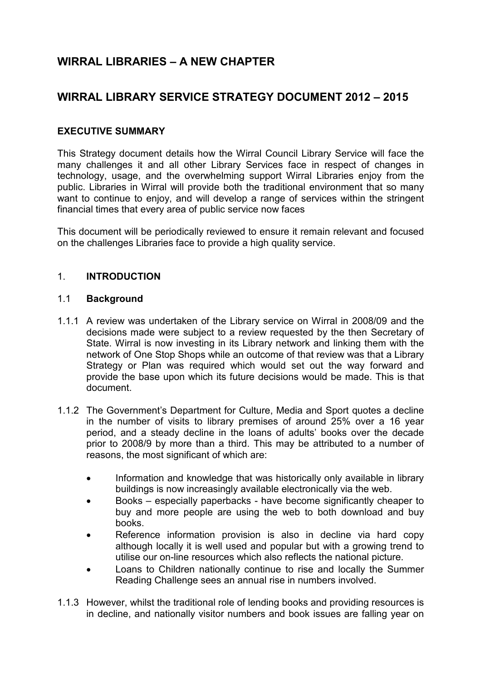# **WIRRAL LIBRARIES – A NEW CHAPTER**

## **WIRRAL LIBRARY SERVICE STRATEGY DOCUMENT 2012 – 2015**

## **EXECUTIVE SUMMARY**

This Strategy document details how the Wirral Council Library Service will face the many challenges it and all other Library Services face in respect of changes in technology, usage, and the overwhelming support Wirral Libraries enjoy from the public. Libraries in Wirral will provide both the traditional environment that so many want to continue to enjoy, and will develop a range of services within the stringent financial times that every area of public service now faces

This document will be periodically reviewed to ensure it remain relevant and focused on the challenges Libraries face to provide a high quality service.

#### 1. **INTRODUCTION**

#### 1.1 **Background**

- 1.1.1 A review was undertaken of the Library service on Wirral in 2008/09 and the decisions made were subject to a review requested by the then Secretary of State. Wirral is now investing in its Library network and linking them with the network of One Stop Shops while an outcome of that review was that a Library Strategy or Plan was required which would set out the way forward and provide the base upon which its future decisions would be made. This is that document.
- 1.1.2 The Government's Department for Culture, Media and Sport quotes a decline in the number of visits to library premises of around 25% over a 16 year period, and a steady decline in the loans of adults' books over the decade prior to 2008/9 by more than a third. This may be attributed to a number of reasons, the most significant of which are:
	- Information and knowledge that was historically only available in library buildings is now increasingly available electronically via the web.
	- Books especially paperbacks have become significantly cheaper to buy and more people are using the web to both download and buy books.
	- Reference information provision is also in decline via hard copy although locally it is well used and popular but with a growing trend to utilise our on-line resources which also reflects the national picture.
	- Loans to Children nationally continue to rise and locally the Summer Reading Challenge sees an annual rise in numbers involved.
- 1.1.3 However, whilst the traditional role of lending books and providing resources is in decline, and nationally visitor numbers and book issues are falling year on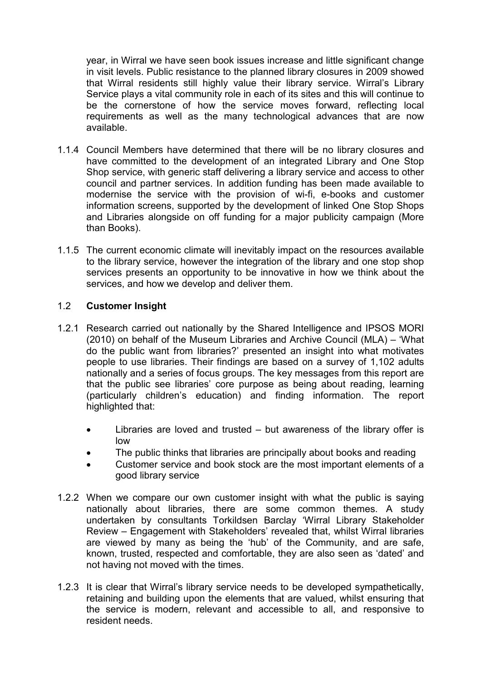year, in Wirral we have seen book issues increase and little significant change in visit levels. Public resistance to the planned library closures in 2009 showed that Wirral residents still highly value their library service. Wirral's Library Service plays a vital community role in each of its sites and this will continue to be the cornerstone of how the service moves forward, reflecting local requirements as well as the many technological advances that are now available.

- 1.1.4 Council Members have determined that there will be no library closures and have committed to the development of an integrated Library and One Stop Shop service, with generic staff delivering a library service and access to other council and partner services. In addition funding has been made available to modernise the service with the provision of wi-fi, e-books and customer information screens, supported by the development of linked One Stop Shops and Libraries alongside on off funding for a major publicity campaign (More than Books).
- 1.1.5 The current economic climate will inevitably impact on the resources available to the library service, however the integration of the library and one stop shop services presents an opportunity to be innovative in how we think about the services, and how we develop and deliver them.

#### 1.2 **Customer Insight**

- 1.2.1 Research carried out nationally by the Shared Intelligence and IPSOS MORI (2010) on behalf of the Museum Libraries and Archive Council (MLA) – 'What do the public want from libraries?' presented an insight into what motivates people to use libraries. Their findings are based on a survey of 1,102 adults nationally and a series of focus groups. The key messages from this report are that the public see libraries' core purpose as being about reading, learning (particularly children's education) and finding information. The report highlighted that:
	- Libraries are loved and trusted but awareness of the library offer is low
	- The public thinks that libraries are principally about books and reading
	- Customer service and book stock are the most important elements of a good library service
- 1.2.2 When we compare our own customer insight with what the public is saying nationally about libraries, there are some common themes. A study undertaken by consultants Torkildsen Barclay 'Wirral Library Stakeholder Review – Engagement with Stakeholders' revealed that, whilst Wirral libraries are viewed by many as being the 'hub' of the Community, and are safe, known, trusted, respected and comfortable, they are also seen as 'dated' and not having not moved with the times.
- 1.2.3 It is clear that Wirral's library service needs to be developed sympathetically, retaining and building upon the elements that are valued, whilst ensuring that the service is modern, relevant and accessible to all, and responsive to resident needs.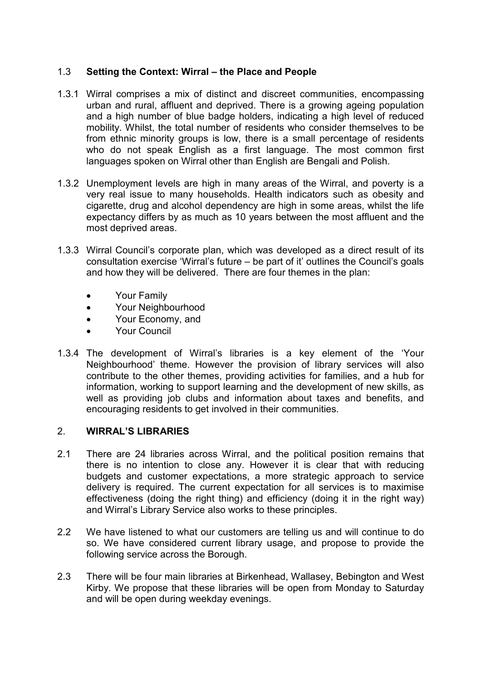## 1.3 **Setting the Context: Wirral – the Place and People**

- 1.3.1 Wirral comprises a mix of distinct and discreet communities, encompassing urban and rural, affluent and deprived. There is a growing ageing population and a high number of blue badge holders, indicating a high level of reduced mobility. Whilst, the total number of residents who consider themselves to be from ethnic minority groups is low, there is a small percentage of residents who do not speak English as a first language. The most common first languages spoken on Wirral other than English are Bengali and Polish.
- 1.3.2 Unemployment levels are high in many areas of the Wirral, and poverty is a very real issue to many households. Health indicators such as obesity and cigarette, drug and alcohol dependency are high in some areas, whilst the life expectancy differs by as much as 10 years between the most affluent and the most deprived areas.
- 1.3.3 Wirral Council's corporate plan, which was developed as a direct result of its consultation exercise 'Wirral's future – be part of it' outlines the Council's goals and how they will be delivered. There are four themes in the plan:
	- Your Family
	- Your Neighbourhood
	- Your Economy, and
	- Your Council
- 1.3.4 The development of Wirral's libraries is a key element of the 'Your Neighbourhood' theme. However the provision of library services will also contribute to the other themes, providing activities for families, and a hub for information, working to support learning and the development of new skills, as well as providing job clubs and information about taxes and benefits, and encouraging residents to get involved in their communities.

#### 2. **WIRRAL'S LIBRARIES**

- 2.1 There are 24 libraries across Wirral, and the political position remains that there is no intention to close any. However it is clear that with reducing budgets and customer expectations, a more strategic approach to service delivery is required. The current expectation for all services is to maximise effectiveness (doing the right thing) and efficiency (doing it in the right way) and Wirral's Library Service also works to these principles.
- 2.2 We have listened to what our customers are telling us and will continue to do so. We have considered current library usage, and propose to provide the following service across the Borough.
- 2.3 There will be four main libraries at Birkenhead, Wallasey, Bebington and West Kirby. We propose that these libraries will be open from Monday to Saturday and will be open during weekday evenings.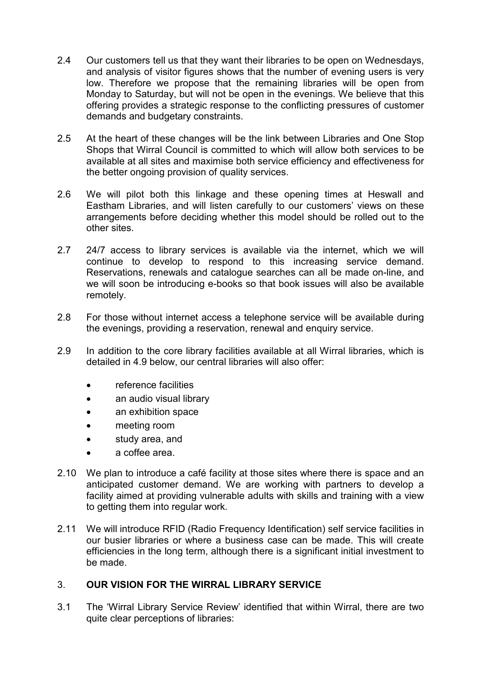- 2.4 Our customers tell us that they want their libraries to be open on Wednesdays, and analysis of visitor figures shows that the number of evening users is very low. Therefore we propose that the remaining libraries will be open from Monday to Saturday, but will not be open in the evenings. We believe that this offering provides a strategic response to the conflicting pressures of customer demands and budgetary constraints.
- 2.5 At the heart of these changes will be the link between Libraries and One Stop Shops that Wirral Council is committed to which will allow both services to be available at all sites and maximise both service efficiency and effectiveness for the better ongoing provision of quality services.
- 2.6 We will pilot both this linkage and these opening times at Heswall and Eastham Libraries, and will listen carefully to our customers' views on these arrangements before deciding whether this model should be rolled out to the other sites.
- 2.7 24/7 access to library services is available via the internet, which we will continue to develop to respond to this increasing service demand. Reservations, renewals and catalogue searches can all be made on-line, and we will soon be introducing e-books so that book issues will also be available remotely.
- 2.8 For those without internet access a telephone service will be available during the evenings, providing a reservation, renewal and enquiry service.
- 2.9 In addition to the core library facilities available at all Wirral libraries, which is detailed in 4.9 below, our central libraries will also offer:
	- reference facilities
	- an audio visual library
	- an exhibition space
	- meeting room
	- study area, and
	- a coffee area.
- 2.10 We plan to introduce a café facility at those sites where there is space and an anticipated customer demand. We are working with partners to develop a facility aimed at providing vulnerable adults with skills and training with a view to getting them into regular work.
- 2.11 We will introduce RFID (Radio Frequency Identification) self service facilities in our busier libraries or where a business case can be made. This will create efficiencies in the long term, although there is a significant initial investment to be made.

#### 3. **OUR VISION FOR THE WIRRAL LIBRARY SERVICE**

3.1 The 'Wirral Library Service Review' identified that within Wirral, there are two quite clear perceptions of libraries: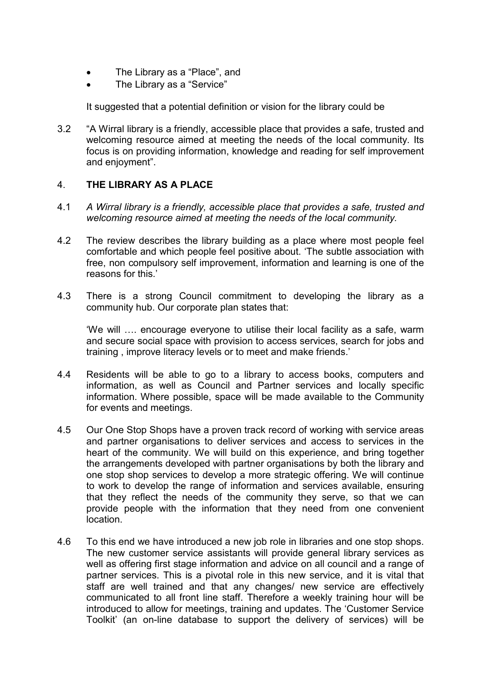- The Library as a "Place", and
- The Library as a "Service"

It suggested that a potential definition or vision for the library could be

3.2 "A Wirral library is a friendly, accessible place that provides a safe, trusted and welcoming resource aimed at meeting the needs of the local community. Its focus is on providing information, knowledge and reading for self improvement and enjoyment".

#### 4. **THE LIBRARY AS A PLACE**

- 4.1 *A Wirral library is a friendly, accessible place that provides a safe, trusted and welcoming resource aimed at meeting the needs of the local community.*
- 4.2 The review describes the library building as a place where most people feel comfortable and which people feel positive about. 'The subtle association with free, non compulsory self improvement, information and learning is one of the reasons for this.'
- 4.3 There is a strong Council commitment to developing the library as a community hub. Our corporate plan states that:

'We will …. encourage everyone to utilise their local facility as a safe, warm and secure social space with provision to access services, search for jobs and training , improve literacy levels or to meet and make friends.'

- 4.4 Residents will be able to go to a library to access books, computers and information, as well as Council and Partner services and locally specific information. Where possible, space will be made available to the Community for events and meetings.
- 4.5 Our One Stop Shops have a proven track record of working with service areas and partner organisations to deliver services and access to services in the heart of the community. We will build on this experience, and bring together the arrangements developed with partner organisations by both the library and one stop shop services to develop a more strategic offering. We will continue to work to develop the range of information and services available, ensuring that they reflect the needs of the community they serve, so that we can provide people with the information that they need from one convenient location.
- 4.6 To this end we have introduced a new job role in libraries and one stop shops. The new customer service assistants will provide general library services as well as offering first stage information and advice on all council and a range of partner services. This is a pivotal role in this new service, and it is vital that staff are well trained and that any changes/ new service are effectively communicated to all front line staff. Therefore a weekly training hour will be introduced to allow for meetings, training and updates. The 'Customer Service Toolkit' (an on-line database to support the delivery of services) will be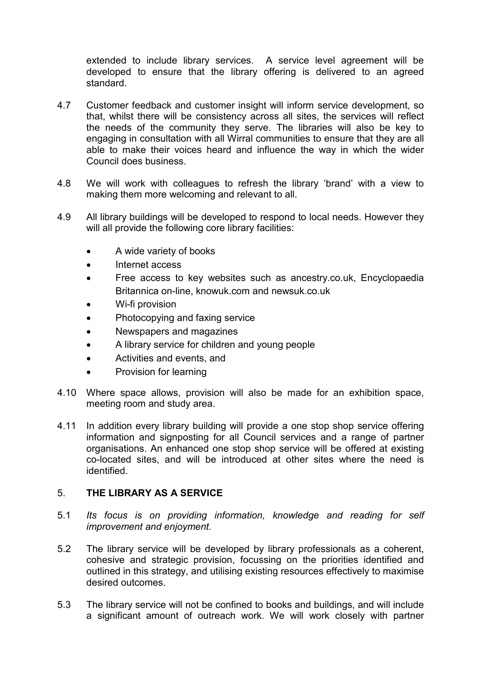extended to include library services. A service level agreement will be developed to ensure that the library offering is delivered to an agreed standard.

- 4.7 Customer feedback and customer insight will inform service development, so that, whilst there will be consistency across all sites, the services will reflect the needs of the community they serve. The libraries will also be key to engaging in consultation with all Wirral communities to ensure that they are all able to make their voices heard and influence the way in which the wider Council does business.
- 4.8 We will work with colleagues to refresh the library 'brand' with a view to making them more welcoming and relevant to all.
- 4.9 All library buildings will be developed to respond to local needs. However they will all provide the following core library facilities:
	- A wide variety of books
	- Internet access
	- Free access to key websites such as ancestry.co.uk, Encyclopaedia Britannica on-line, knowuk.com and newsuk.co.uk
	- Wi-fi provision
	- Photocopying and faxing service
	- Newspapers and magazines
	- A library service for children and young people
	- Activities and events, and
	- Provision for learning
- 4.10 Where space allows, provision will also be made for an exhibition space, meeting room and study area.
- 4.11 In addition every library building will provide a one stop shop service offering information and signposting for all Council services and a range of partner organisations. An enhanced one stop shop service will be offered at existing co-located sites, and will be introduced at other sites where the need is identified.

#### 5. **THE LIBRARY AS A SERVICE**

- 5.1 *Its focus is on providing information, knowledge and reading for self improvement and enjoyment.*
- 5.2 The library service will be developed by library professionals as a coherent, cohesive and strategic provision, focussing on the priorities identified and outlined in this strategy, and utilising existing resources effectively to maximise desired outcomes.
- 5.3 The library service will not be confined to books and buildings, and will include a significant amount of outreach work. We will work closely with partner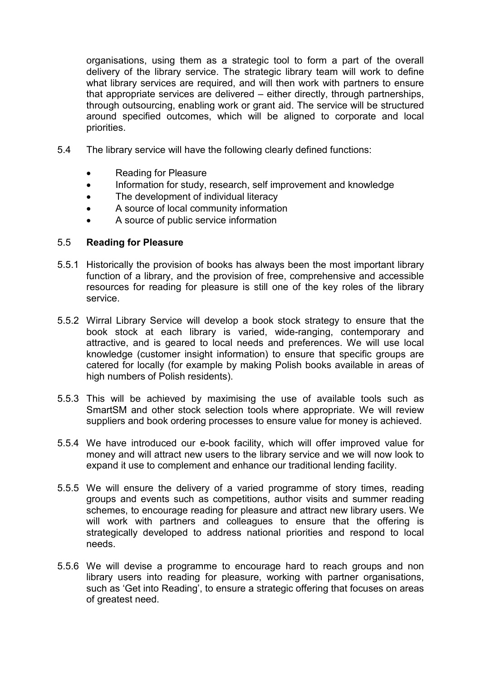organisations, using them as a strategic tool to form a part of the overall delivery of the library service. The strategic library team will work to define what library services are required, and will then work with partners to ensure that appropriate services are delivered – either directly, through partnerships, through outsourcing, enabling work or grant aid. The service will be structured around specified outcomes, which will be aligned to corporate and local priorities.

- 5.4 The library service will have the following clearly defined functions:
	- Reading for Pleasure
	- Information for study, research, self improvement and knowledge
	- The development of individual literacy
	- A source of local community information
	- A source of public service information

#### 5.5 **Reading for Pleasure**

- 5.5.1 Historically the provision of books has always been the most important library function of a library, and the provision of free, comprehensive and accessible resources for reading for pleasure is still one of the key roles of the library service.
- 5.5.2 Wirral Library Service will develop a book stock strategy to ensure that the book stock at each library is varied, wide-ranging, contemporary and attractive, and is geared to local needs and preferences. We will use local knowledge (customer insight information) to ensure that specific groups are catered for locally (for example by making Polish books available in areas of high numbers of Polish residents).
- 5.5.3 This will be achieved by maximising the use of available tools such as SmartSM and other stock selection tools where appropriate. We will review suppliers and book ordering processes to ensure value for money is achieved.
- 5.5.4 We have introduced our e-book facility, which will offer improved value for money and will attract new users to the library service and we will now look to expand it use to complement and enhance our traditional lending facility.
- 5.5.5 We will ensure the delivery of a varied programme of story times, reading groups and events such as competitions, author visits and summer reading schemes, to encourage reading for pleasure and attract new library users. We will work with partners and colleagues to ensure that the offering is strategically developed to address national priorities and respond to local needs.
- 5.5.6 We will devise a programme to encourage hard to reach groups and non library users into reading for pleasure, working with partner organisations, such as 'Get into Reading', to ensure a strategic offering that focuses on areas of greatest need.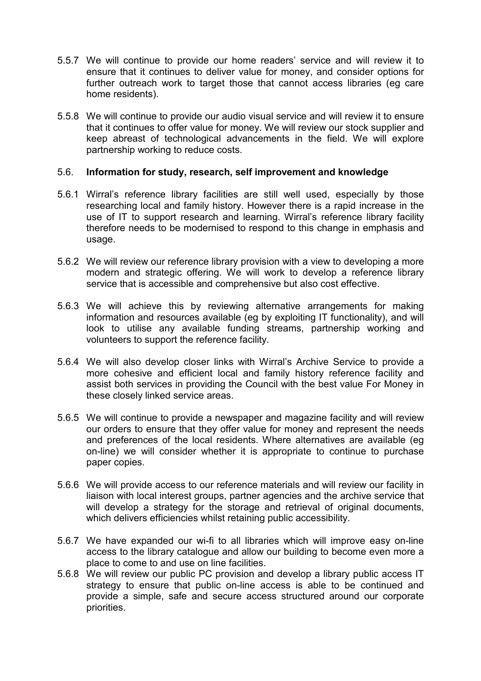- 5.5.7 We will continue to provide our home readers' service and will review it to ensure that it continues to deliver value for money, and consider options for further outreach work to target those that cannot access libraries (eg care home residents).
- 5.5.8 We will continue to provide our audio visual service and will review it to ensure that it continues to offer value for money. We will review our stock supplier and keep abreast of technological advancements in the field. We will explore partnership working to reduce costs.

#### 5.6. **Information for study, research, self improvement and knowledge**

- 5.6.1 Wirral's reference library facilities are still well used, especially by those researching local and family history. However there is a rapid increase in the use of IT to support research and learning. Wirral's reference library facility therefore needs to be modernised to respond to this change in emphasis and usage.
- 5.6.2 We will review our reference library provision with a view to developing a more modern and strategic offering. We will work to develop a reference library service that is accessible and comprehensive but also cost effective.
- 5.6.3 We will achieve this by reviewing alternative arrangements for making information and resources available (eg by exploiting IT functionality), and will look to utilise any available funding streams, partnership working and volunteers to support the reference facility.
- 5.6.4 We will also develop closer links with Wirral's Archive Service to provide a more cohesive and efficient local and family history reference facility and assist both services in providing the Council with the best value For Money in these closely linked service areas.
- 5.6.5 We will continue to provide a newspaper and magazine facility and will review our orders to ensure that they offer value for money and represent the needs and preferences of the local residents. Where alternatives are available (eg on-line) we will consider whether it is appropriate to continue to purchase paper copies.
- 5.6.6 We will provide access to our reference materials and will review our facility in liaison with local interest groups, partner agencies and the archive service that will develop a strategy for the storage and retrieval of original documents, which delivers efficiencies whilst retaining public accessibility.
- 5.6.7 We have expanded our wi-fi to all libraries which will improve easy on-line access to the library catalogue and allow our building to become even more a place to come to and use on line facilities.
- 5.6.8 We will review our public PC provision and develop a library public access IT strategy to ensure that public on-line access is able to be continued and provide a simple, safe and secure access structured around our corporate priorities.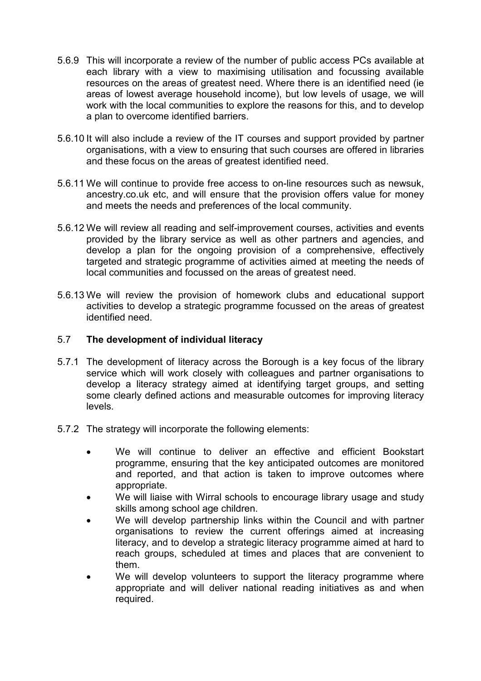- 5.6.9 This will incorporate a review of the number of public access PCs available at each library with a view to maximising utilisation and focussing available resources on the areas of greatest need. Where there is an identified need (ie areas of lowest average household income), but low levels of usage, we will work with the local communities to explore the reasons for this, and to develop a plan to overcome identified barriers.
- 5.6.10 It will also include a review of the IT courses and support provided by partner organisations, with a view to ensuring that such courses are offered in libraries and these focus on the areas of greatest identified need.
- 5.6.11 We will continue to provide free access to on-line resources such as newsuk, ancestry.co.uk etc, and will ensure that the provision offers value for money and meets the needs and preferences of the local community.
- 5.6.12 We will review all reading and self-improvement courses, activities and events provided by the library service as well as other partners and agencies, and develop a plan for the ongoing provision of a comprehensive, effectively targeted and strategic programme of activities aimed at meeting the needs of local communities and focussed on the areas of greatest need.
- 5.6.13 We will review the provision of homework clubs and educational support activities to develop a strategic programme focussed on the areas of greatest identified need.

#### 5.7 **The development of individual literacy**

- 5.7.1 The development of literacy across the Borough is a key focus of the library service which will work closely with colleagues and partner organisations to develop a literacy strategy aimed at identifying target groups, and setting some clearly defined actions and measurable outcomes for improving literacy levels.
- 5.7.2 The strategy will incorporate the following elements:
	- We will continue to deliver an effective and efficient Bookstart programme, ensuring that the key anticipated outcomes are monitored and reported, and that action is taken to improve outcomes where appropriate.
	- We will liaise with Wirral schools to encourage library usage and study skills among school age children.
	- We will develop partnership links within the Council and with partner organisations to review the current offerings aimed at increasing literacy, and to develop a strategic literacy programme aimed at hard to reach groups, scheduled at times and places that are convenient to them.
	- We will develop volunteers to support the literacy programme where appropriate and will deliver national reading initiatives as and when required.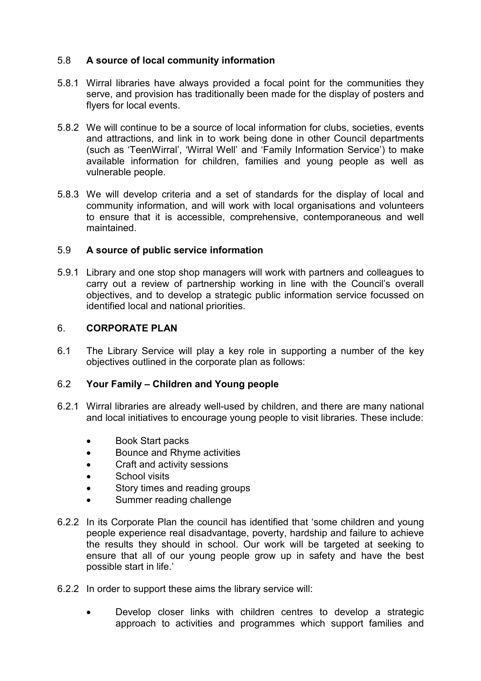## 5.8 **A source of local community information**

- 5.8.1 Wirral libraries have always provided a focal point for the communities they serve, and provision has traditionally been made for the display of posters and flyers for local events.
- 5.8.2 We will continue to be a source of local information for clubs, societies, events and attractions, and link in to work being done in other Council departments (such as 'TeenWirral', 'Wirral Well' and 'Family Information Service') to make available information for children, families and young people as well as vulnerable people.
- 5.8.3 We will develop criteria and a set of standards for the display of local and community information, and will work with local organisations and volunteers to ensure that it is accessible, comprehensive, contemporaneous and well maintained.

## 5.9 **A source of public service information**

5.9.1 Library and one stop shop managers will work with partners and colleagues to carry out a review of partnership working in line with the Council's overall objectives, and to develop a strategic public information service focussed on identified local and national priorities.

#### 6. **CORPORATE PLAN**

6.1 The Library Service will play a key role in supporting a number of the key objectives outlined in the corporate plan as follows:

#### 6.2 **Your Family – Children and Young people**

- 6.2.1 Wirral libraries are already well-used by children, and there are many national and local initiatives to encourage young people to visit libraries. These include:
	- Book Start packs
	- Bounce and Rhyme activities
	- Craft and activity sessions
	- School visits
	- Story times and reading groups
	- Summer reading challenge
- 6.2.2 In its Corporate Plan the council has identified that 'some children and young people experience real disadvantage, poverty, hardship and failure to achieve the results they should in school. Our work will be targeted at seeking to ensure that all of our young people grow up in safety and have the best possible start in life.'
- 6.2.2 In order to support these aims the library service will:
	- Develop closer links with children centres to develop a strategic approach to activities and programmes which support families and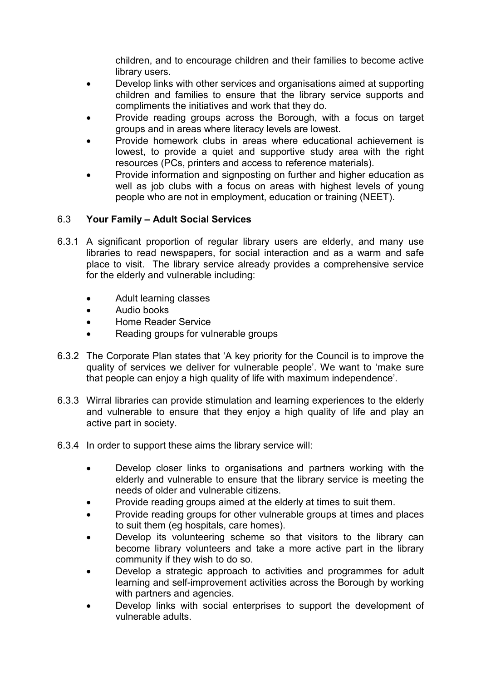children, and to encourage children and their families to become active library users.

- Develop links with other services and organisations aimed at supporting children and families to ensure that the library service supports and compliments the initiatives and work that they do.
- Provide reading groups across the Borough, with a focus on target groups and in areas where literacy levels are lowest.
- Provide homework clubs in areas where educational achievement is lowest, to provide a quiet and supportive study area with the right resources (PCs, printers and access to reference materials).
- Provide information and signposting on further and higher education as well as job clubs with a focus on areas with highest levels of young people who are not in employment, education or training (NEET).

#### 6.3 **Your Family – Adult Social Services**

- 6.3.1 A significant proportion of regular library users are elderly, and many use libraries to read newspapers, for social interaction and as a warm and safe place to visit. The library service already provides a comprehensive service for the elderly and vulnerable including:
	- Adult learning classes
	- Audio books
	- Home Reader Service
	- Reading groups for vulnerable groups
- 6.3.2 The Corporate Plan states that 'A key priority for the Council is to improve the quality of services we deliver for vulnerable people'. We want to 'make sure that people can enjoy a high quality of life with maximum independence'.
- 6.3.3 Wirral libraries can provide stimulation and learning experiences to the elderly and vulnerable to ensure that they enjoy a high quality of life and play an active part in society.
- 6.3.4 In order to support these aims the library service will:
	- Develop closer links to organisations and partners working with the elderly and vulnerable to ensure that the library service is meeting the needs of older and vulnerable citizens.
	- Provide reading groups aimed at the elderly at times to suit them.
	- Provide reading groups for other vulnerable groups at times and places to suit them (eg hospitals, care homes).
	- Develop its volunteering scheme so that visitors to the library can become library volunteers and take a more active part in the library community if they wish to do so.
	- Develop a strategic approach to activities and programmes for adult learning and self-improvement activities across the Borough by working with partners and agencies.
	- Develop links with social enterprises to support the development of vulnerable adults.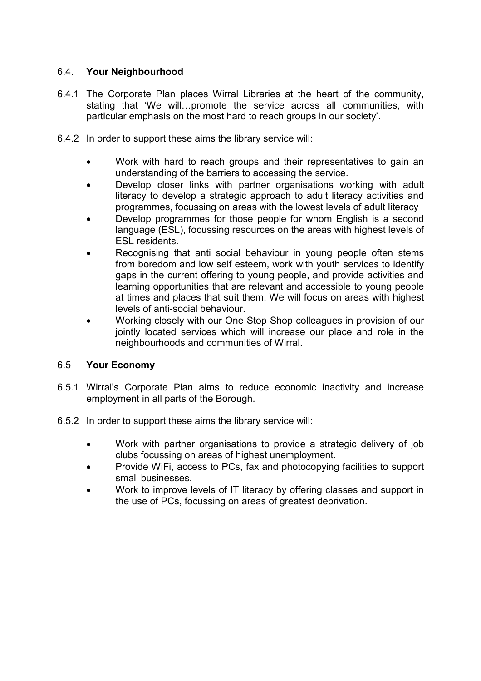## 6.4. **Your Neighbourhood**

- 6.4.1 The Corporate Plan places Wirral Libraries at the heart of the community, stating that 'We will…promote the service across all communities, with particular emphasis on the most hard to reach groups in our society'.
- 6.4.2 In order to support these aims the library service will:
	- Work with hard to reach groups and their representatives to gain an understanding of the barriers to accessing the service.
	- Develop closer links with partner organisations working with adult literacy to develop a strategic approach to adult literacy activities and programmes, focussing on areas with the lowest levels of adult literacy
	- Develop programmes for those people for whom English is a second language (ESL), focussing resources on the areas with highest levels of ESL residents.
	- Recognising that anti social behaviour in young people often stems from boredom and low self esteem, work with youth services to identify gaps in the current offering to young people, and provide activities and learning opportunities that are relevant and accessible to young people at times and places that suit them. We will focus on areas with highest levels of anti-social behaviour.
	- Working closely with our One Stop Shop colleagues in provision of our jointly located services which will increase our place and role in the neighbourhoods and communities of Wirral.

## 6.5 **Your Economy**

- 6.5.1 Wirral's Corporate Plan aims to reduce economic inactivity and increase employment in all parts of the Borough.
- 6.5.2 In order to support these aims the library service will:
	- Work with partner organisations to provide a strategic delivery of job clubs focussing on areas of highest unemployment.
	- Provide WiFi, access to PCs, fax and photocopying facilities to support small businesses.
	- Work to improve levels of IT literacy by offering classes and support in the use of PCs, focussing on areas of greatest deprivation.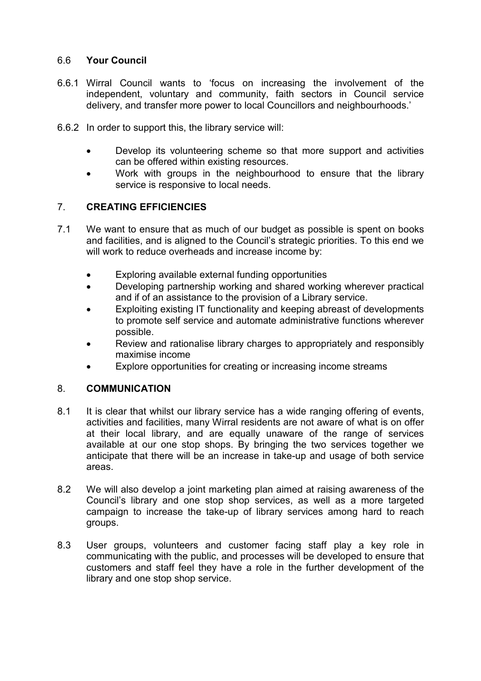## 6.6 **Your Council**

- 6.6.1 Wirral Council wants to 'focus on increasing the involvement of the independent, voluntary and community, faith sectors in Council service delivery, and transfer more power to local Councillors and neighbourhoods.'
- 6.6.2 In order to support this, the library service will:
	- Develop its volunteering scheme so that more support and activities can be offered within existing resources.
	- Work with groups in the neighbourhood to ensure that the library service is responsive to local needs.

## 7. **CREATING EFFICIENCIES**

- 7.1 We want to ensure that as much of our budget as possible is spent on books and facilities, and is aligned to the Council's strategic priorities. To this end we will work to reduce overheads and increase income by:
	- Exploring available external funding opportunities
	- Developing partnership working and shared working wherever practical and if of an assistance to the provision of a Library service.
	- Exploiting existing IT functionality and keeping abreast of developments to promote self service and automate administrative functions wherever possible.
	- Review and rationalise library charges to appropriately and responsibly maximise income
	- Explore opportunities for creating or increasing income streams

#### 8. **COMMUNICATION**

- 8.1 It is clear that whilst our library service has a wide ranging offering of events, activities and facilities, many Wirral residents are not aware of what is on offer at their local library, and are equally unaware of the range of services available at our one stop shops. By bringing the two services together we anticipate that there will be an increase in take-up and usage of both service areas.
- 8.2 We will also develop a joint marketing plan aimed at raising awareness of the Council's library and one stop shop services, as well as a more targeted campaign to increase the take-up of library services among hard to reach groups.
- 8.3 User groups, volunteers and customer facing staff play a key role in communicating with the public, and processes will be developed to ensure that customers and staff feel they have a role in the further development of the library and one stop shop service.